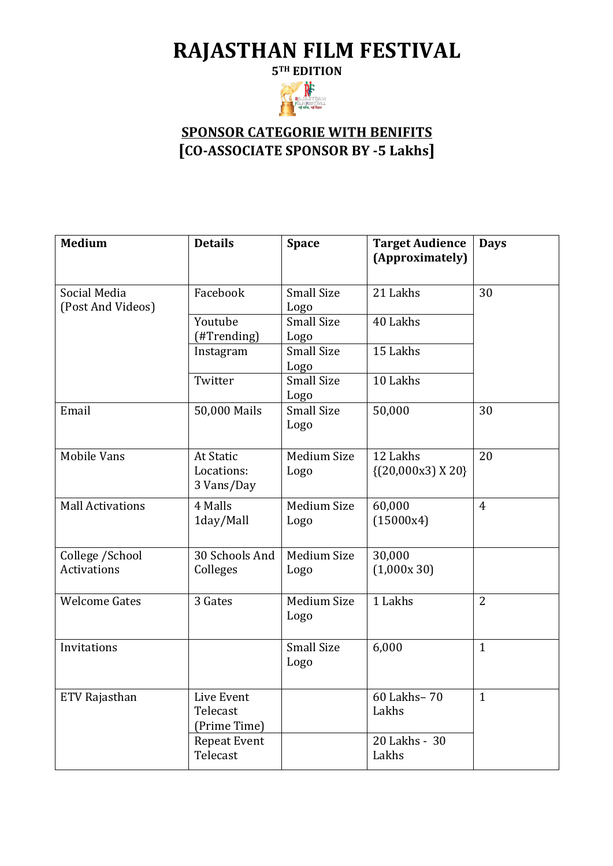## **RAJASTHAN FILM FESTIVAL**

**5TH EDITION**



## **SPONSOR CATEGORIE WITH BENIFITS [CO-ASSOCIATE SPONSOR BY -5 Lakhs]**

| <b>Medium</b>                         | <b>Details</b>                               | <b>Space</b>               | <b>Target Audience</b><br>(Approximately) | <b>Days</b>    |
|---------------------------------------|----------------------------------------------|----------------------------|-------------------------------------------|----------------|
| Social Media<br>(Post And Videos)     | Facebook                                     | <b>Small Size</b><br>Logo  | 21 Lakhs                                  | 30             |
|                                       | Youtube<br>(#Trending)                       | <b>Small Size</b><br>Logo  | 40 Lakhs                                  |                |
|                                       | Instagram                                    | <b>Small Size</b><br>Logo  | 15 Lakhs                                  |                |
|                                       | Twitter                                      | <b>Small Size</b><br>Logo  | 10 Lakhs                                  |                |
| Email                                 | 50,000 Mails                                 | <b>Small Size</b><br>Logo  | 50,000                                    | 30             |
| <b>Mobile Vans</b>                    | <b>At Static</b><br>Locations:<br>3 Vans/Day | Medium Size<br>Logo        | 12 Lakhs<br>$\{(20,000x3)X20\}$           | 20             |
| <b>Mall Activations</b>               | 4 Malls<br>1day/Mall                         | <b>Medium Size</b><br>Logo | 60,000<br>(15000x4)                       | $\overline{4}$ |
| College /School<br><b>Activations</b> | 30 Schools And<br>Colleges                   | Medium Size<br>Logo        | 30,000<br>(1,000x30)                      |                |
| <b>Welcome Gates</b>                  | 3 Gates                                      | <b>Medium Size</b><br>Logo | 1 Lakhs                                   | $\overline{2}$ |
| Invitations                           |                                              | <b>Small Size</b><br>Logo  | 6,000                                     | $\mathbf{1}$   |
| ETV Rajasthan                         | Live Event<br>Telecast<br>(Prime Time)       |                            | 60 Lakhs-70<br>Lakhs                      | $\mathbf{1}$   |
|                                       | <b>Repeat Event</b><br>Telecast              |                            | 20 Lakhs - 30<br>Lakhs                    |                |